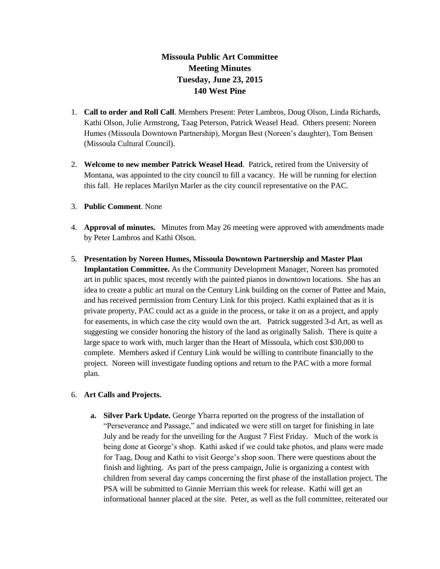## **Missoula Public Art Committee Meeting Minutes Tuesday, June 23, 2015 140 West Pine**

- 1. **Call to order and Roll Call**. Members Present: Peter Lambros, Doug Olson, Linda Richards, Kathi Olson, Julie Armstrong, Taag Peterson, Patrick Weasel Head. Others present: Noreen Humes (Missoula Downtown Partnership), Morgan Best (Noreen's daughter), Tom Bensen (Missoula Cultural Council).
- 2. **Welcome to new member Patrick Weasel Head**. Patrick, retired from the University of Montana, was appointed to the city council to fill a vacancy. He will be running for election this fall. He replaces Marilyn Marler as the city council representative on the PAC.
- 3. **Public Comment**. None
- 4. **Approval of minutes.** Minutes from May 26 meeting were approved with amendments made by Peter Lambros and Kathi Olson.
- 5. **Presentation by Noreen Humes, Missoula Downtown Partnership and Master Plan Implantation Committee.** As the Community Development Manager, Noreen has promoted art in public spaces, most recently with the painted pianos in downtown locations. She has an idea to create a public art mural on the Century Link building on the corner of Pattee and Main, and has received permission from Century Link for this project. Kathi explained that as it is private property, PAC could act as a guide in the process, or take it on as a project, and apply for easements, in which case the city would own the art. Patrick suggested 3-d Art, as well as suggesting we consider honoring the history of the land as originally Salish. There is quite a large space to work with, much larger than the Heart of Missoula, which cost \$30,000 to complete. Members asked if Century Link would be willing to contribute financially to the project. Noreen will investigate funding options and return to the PAC with a more formal plan.

## 6. **Art Calls and Projects.**

**a. Silver Park Update.** George Ybarra reported on the progress of the installation of "Perseverance and Passage," and indicated we were still on target for finishing in late July and be ready for the unveiling for the August 7 First Friday. Much of the work is being done at George's shop. Kathi asked if we could take photos, and plans were made for Taag, Doug and Kathi to visit George's shop soon. There were questions about the finish and lighting. As part of the press campaign, Julie is organizing a contest with children from several day camps concerning the first phase of the installation project. The PSA will be submitted to Ginnie Merriam this week for release. Kathi will get an informational banner placed at the site. Peter, as well as the full committee, reiterated our